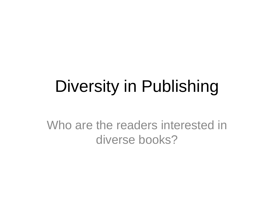## Diversity in Publishing

Who are the readers interested in diverse books?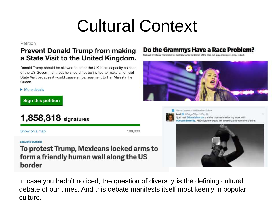## Cultural Context

Petition

#### **Prevent Donald Trump from making** a State Visit to the United Kingdom.

Donald Trump should be allowed to enter the UK in his capacity as head of the US Government, but he should not be invited to make an official State Visit because it would cause embarrassment to Her Majesty the Queen.

 $\triangleright$  More details

#### **Sign this petition**

| <b>1,858,818</b> signatures |  |
|-----------------------------|--|
|-----------------------------|--|

Show on a map

100,000

#### **BREAKING BARRIERS**

To protest Trump, Mexicans locked arms to form a friendly human wall along the US border

#### Do the Grammys Have a Race Problem?

artists are nominated for Best New Artist or Record of the Year, but lggy Azalea gets props in both





In case you hadn't noticed, the question of diversity **is** the defining cultural debate of our times. And this debate manifests itself most keenly in popular culture.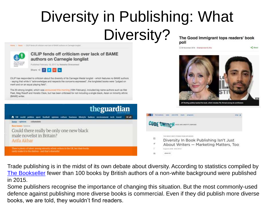#### Diversity in Publishing: What Diversity? The Good Immigrant tops readers' book poll

Hime. > News > CIUP feats of criticism over lick of BAMI, authors in Centrole loopied



Trade publishing is in the midst of its own debate about diversity. According to statistics compiled by [The Bookseller](http://www.thebookseller.com/news/publishing-seeks-address-industry-s-lack-diversity-426031) fewer than 100 books by British authors of a non-white background were published in 2015.

Some publishers recognise the importance of changing this situation. But the most commonly-used defence against publishing more diverse books is commercial. Even if they did publish more diverse books, we are told, they wouldn't find readers.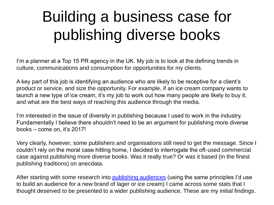### Building a business case for publishing diverse books

I'm a planner at a Top 15 PR agency in the UK. My job is to look at the defining trends in culture, communications and consumption for opportunities for my clients.

A key part of this job is identifying an audience who are likely to be receptive for a client's product or service, and size the opportunity. For example, if an ice cream company wants to launch a new type of ice cream, it's my job to work out how many people are likely to buy it, and what are the best ways of reaching this audience through the media.

I'm interested in the issue of diversity in publishing because I used to work in the industry. Fundamentally I believe there shouldn't need to be an argument for publishing more diverse books – come on, it's 2017!

Very clearly, however, some publishers and organisations still need to get the message. Since I couldn't rely on the moral case hitting home, I decided to interrogate the oft-used commercial case against publishing more diverse books. Was it really true? Or was it based (in the finest publishing traditions) on anecdata.

After starting with some research into [publishing audiences](https://twitter.com/i/moments/832366339268440064) (using the same principles I'd use to build an audience for a new brand of lager or ice cream) I came across some stats that I thought deserved to be presented to a wider publishing audience. These are my initial findings.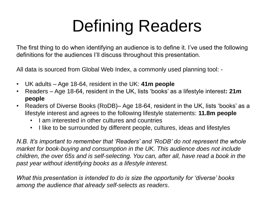# Defining Readers

The first thing to do when identifying an audience is to define it. I've used the following definitions for the audiences I'll discuss throughout this presentation.

All data is sourced from Global Web Index, a commonly used planning tool: -

- UK adults Age 18-64, resident in the UK: **41m people**
- Readers Age 18-64, resident in the UK, lists 'books' as a lifestyle interest**: 21m people**
- Readers of Diverse Books (RoDB)– Age 18-64, resident in the UK, lists 'books' as a lifestyle interest and agrees to the following lifestyle statements: **11.8m people**
	- I am interested in other cultures and countries
	- I like to be surrounded by different people, cultures, ideas and lifestyles

*N.B. It's important to remember that 'Readers' and 'RoDB' do not represent the whole market for book-buying and consumption in the UK. This audience does not include children, the over 65s and is self-selecting. You can, after all, have read a book in the past year without identifying books as a lifestyle interest.*

*What this presentation is intended to do is size the opportunity for 'diverse' books among the audience that already self-selects as readers*.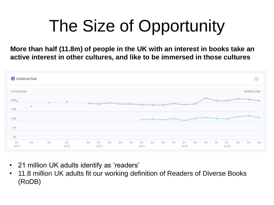# The Size of Opportunity

**More than half (11.8m) of people in the UK with an interest in books take an active interest in other cultures, and like to be immersed in those cultures** 



- 21 million UK adults identify as 'readers'
- 11.8 million UK adults fit our working definition of Readers of Diverse Books (RoDB)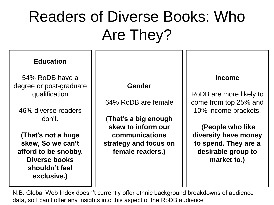## Readers of Diverse Books: Who Are They?

#### **Education**

54% RoDB have a degree or post-graduate qualification

46% diverse readers don't.

**(That's not a huge skew, So we can't afford to be snobby. Diverse books shouldn't feel exclusive.)**

#### **Gender**

64% RoDB are female

**(That's a big enough skew to inform our communications strategy and focus on female readers.)**

#### **Income**

RoDB are more likely to come from top 25% and 10% income brackets.

(**People who like diversity have money to spend. They are a desirable group to market to.)**

N.B. Global Web Index doesn't currently offer ethnic background breakdowns of audience data, so I can't offer any insights into this aspect of the RoDB audience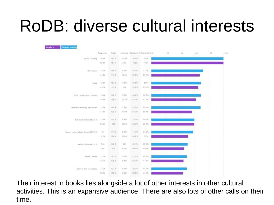## RoDB: diverse cultural interests



Their interest in books lies alongside a lot of other interests in other cultural activities. This is an expansive audience. There are also lots of other calls on their time.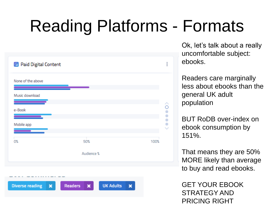## Reading Platforms - Formats



Ok, let's talk about a really uncomfortable subject: ebooks.

Readers care marginally less about ebooks than the general UK adult population

BUT RoDB over-index on ebook consumption by 151%.

That means they are 50% MORE likely than average to buy and read ebooks.

GET YOUR EBOOK STRATEGY AND PRICING RIGHT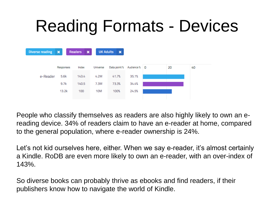## Reading Formats - Devices



People who classify themselves as readers are also highly likely to own an ereading device. 34% of readers claim to have an e-reader at home, compared to the general population, where e-reader ownership is 24%.

Let's not kid ourselves here, either. When we say e-reader, it's almost certainly a Kindle. RoDB are even more likely to own an e-reader, with an over-index of 143%.

So diverse books can probably thrive as ebooks and find readers, if their publishers know how to navigate the world of Kindle.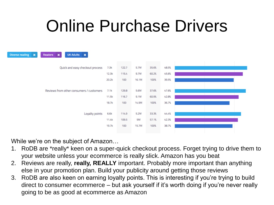## Online Purchase Drivers



While we're on the subject of Amazon…

- 1. RoDB are \*really\* keen on a super-quick checkout process. Forget trying to drive them to your website unless your ecommerce is really slick. Amazon has you beat
- 2. Reviews are really, **really, REALLY** important. Probably more important than anything else in your promotion plan. Build your publicity around getting those reviews
- 3. RoDB are also keen on earning loyalty points. This is interesting if you're trying to build direct to consumer ecommerce – but ask yourself if it's worth doing if you're never really going to be as good at ecommerce as Amazon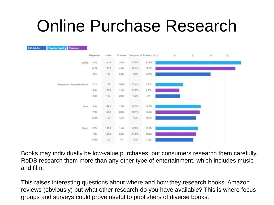## Online Purchase Research

| <b>UK Adults</b><br>Diverse reading Readers |                        |                    |                 |               |                           |             |    |        |        |
|---------------------------------------------|------------------------|--------------------|-----------------|---------------|---------------------------|-------------|----|--------|--------|
|                                             | <b>Responses</b>       | Index              | Universe        |               | Data point % Audience % 0 | $\mathbb S$ | 10 | $15\,$ | $20\,$ |
| Books                                       | 8.4k                   | 183.4              | 2.8M<br>20TS Vi | 53.8%<br>-326 | 24.4%                     |             |    |        |        |
|                                             | 14.5k                  | 156.8              | 4.6M            | 83.5%         | 22.8%                     |             |    |        |        |
|                                             | 19k                    | 100                | 5.8M<br>ran     | 100%          | 15.7%                     |             |    |        |        |
| Braadband / hi-spaed Internet               | 之狭                     | 128                | 901k            | 37.4%         | 7.9%                      |             |    |        |        |
|                                             | 4.5k                   | 107.4              | 7.4M            | 57.2%         | 688<br>6.8%               |             |    |        |        |
|                                             | B.Bk                   | 100                | 2.6M            | 100%          | 7%                        |             |    |        |        |
| Firma                                       | <b>HESPATE</b><br>3.4k | 144.8              | 1.5M            | 42.3%         | 12.9%                     |             |    |        |        |
|                                             | 7.9k                   | 124.1              | 2.5M            | 66.1%         | 12.0%                     |             |    |        |        |
|                                             | 13.5k                  | 100                | 0.922<br>$4.3M$ | 100%          | 11.8%                     |             |    |        |        |
| Music                                       | 3.2k                   | 145.4              | 1.4M            | 42.5%         | 12.1%                     |             |    |        |        |
|                                             | <b>START</b><br>7.3k   | Yakelete.<br>121.3 | esco<br>2.3M    | 64.6%         | Oltar<br>11.8%            |             |    |        |        |
|                                             | 12.6k                  | 100                | 4M              | 100%          | 10.8%                     |             |    |        |        |

Books may individually be low-value purchases, but consumers research them carefully. RoDB research them more than any other type of entertainment, which includes music and film.

This raises interesting questions about where and how they research books. Amazon reviews (obviously) but what other research do you have available? This is where focus groups and surveys could prove useful to publishers of diverse books.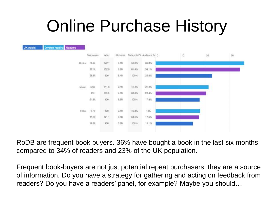## Online Purchase History



RoDB are frequent book buyers. 36% have bought a book in the last six months, compared to 34% of readers and 23% of the UK population.

Frequent book-buyers are not just potential repeat purchasers, they are a source of information. Do you have a strategy for gathering and acting on feedback from readers? Do you have a readers' panel, for example? Maybe you should…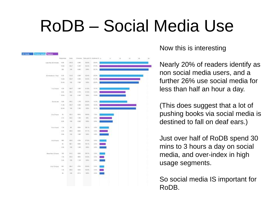## RoDB – Social Media Use



Now this is interesting

Nearly 20% of readers identify as non social media users, and a further 26% use social media for less than half an hour a day.

(This does suggest that a lot of pushing books via social media is destined to fall on deaf ears.)

Just over half of RoDB spend 30 mins to 3 hours a day on social media, and over-index in high usage segments.

So social media IS important for RoDB.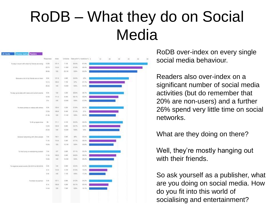### RoDB – What they do on Social **Media**

| K Adults | <b>Chansa madrid Readers</b>                     |                                |            |              |                  |                           |   |    |    |      |     |   |
|----------|--------------------------------------------------|--------------------------------|------------|--------------|------------------|---------------------------|---|----|----|------|-----|---|
|          |                                                  | <b><i><u>Responses</u></i></b> | tuba:      | Universe     |                  | Data point % Audience % 3 | 推 | 21 | 38 | 40.1 | 597 | × |
|          | To stay in touch with what my frence are itoring | 11.5k                          | 121.4      | 7.1回         | 25.5%            | 81.9%                     |   |    |    |      |     |   |
|          |                                                  | 33.7%                          | 130 B      | 11,056       | 57.9%            | 35.4%                     |   |    |    |      |     |   |
|          |                                                  | 39.04                          | 100        | 20, NA       | 100%             | 55.0%                     |   |    |    |      |     |   |
|          | Boosuse a lot of Fy Wends are un from            | 京阪                             | 121.8      | A.BM         | 国都               | 42%                       |   |    |    |      |     |   |
|          |                                                  | 15.7k                          | 159.2      | $T$ .71d     | 57%              | \$7.7%                    |   |    |    |      |     |   |
|          |                                                  | 25.2%                          | <b>IDE</b> | 13.6M        | 110%             | 34.5%                     |   |    |    |      |     |   |
|          | To stay up-to-date with reme and current awards  | 41.26                          | 132        | 4,294        | 39,8%            | 35,7%                     |   |    |    |      |     |   |
|          |                                                  | 12.38                          | 111.3      | <b>空相</b>    | 197,1%           | $00.1\%$                  |   |    |    |      |     |   |
|          |                                                  | 210                            | 100        | 111,999      | TEC'S            | 37.9%                     |   |    |    |      |     |   |
|          | The amount prhotost car and education of transis | 8.06                           | 123.4      | 4.250        | IT.8%            | 39.5%                     |   |    |    |      |     |   |
|          |                                                  | 1.1 fm                         | 103.8      | 8.4M         | 57.4%            | 27%                       |   |    |    |      |     |   |
|          |                                                  | 21.04                          | 100        | $+1.1W$      | 100%             | 38.2%                     |   |    |    |      |     |   |
|          | To 30 Lpt appen Brew.                            | <b>IS</b>                      | 331.8.     | 4.1M         | 33.5%            | 33, 8%                    |   |    |    |      |     |   |
|          |                                                  | 13.09                          | 103.8      | 6.EM         | 88.7%            | 33.9%                     |   |    |    |      |     |   |
|          |                                                  | 34.29.                         | 100        | 12.6M        | <b>1DOW</b><br>ш | 32%                       |   |    |    |      |     |   |
|          | (Seneral networking with other people)           | 7.50                           | 132.7      | 2.5M         | 35%              | 31.5%                     |   |    |    |      |     |   |
|          |                                                  | 33.44                          | 170 A      | 1.194        | 07/7%            | 26.5%                     |   |    |    |      |     |   |
|          |                                                  | 19.5k                          | 100        | <b>TILTM</b> | 100%             | 25.8%                     |   |    |    |      |     |   |
|          | To this turny or emergering context.             | 728                            | /127       | 3.844        | 27.9%            | 33.5%                     |   |    |    |      |     |   |
|          |                                                  | 11.4%                          | 108.8      | 1.346        | 50.8%            | 28.8%                     |   |    |    |      |     |   |
|          |                                                  | 19.Eb                          | <b>IDE</b> | <b>TO TM</b> | 110%             | 26.2%                     |   |    |    |      |     |   |
|          | To organize spoul exerts (Q4 2015 to Q5 2018)    | 支援                             | 140        | 3.167.       | 40.0%            | 34.2%                     |   |    |    |      |     |   |
|          | the company company                              | 3.10.                          | 刘自由        | 4.1M         | 57.5%            | 18.2%                     |   |    |    |      |     |   |
|          |                                                  | 5-lb                           | TDD        | 7.116        | TEPS:            | 17.2%                     |   |    |    |      |     |   |
|          | The Mineries tripy copyrights:                   | L.G.                           | NET.T.     | 2.093        | $37.2\%$         | 34.2%                     |   |    |    |      |     |   |
|          |                                                  | 1.14                           | 106.8      | 4288         | 35.7%            | 201,4%                    |   |    |    |      |     |   |
|          |                                                  | $+4.48$                        | 100        | 7.168        | 100%             | 10.1%                     |   |    |    |      |     |   |
|          |                                                  |                                |            |              |                  |                           |   |    |    |      |     |   |

RoDB over-index on every single social media behaviour.

Readers also over-index on a significant number of social media activities (but do remember that 20% are non-users) and a further 26% spend very little time on social networks.

What are they doing on there?

Well, they're mostly hanging out with their friends.

So ask yourself as a publisher, what are you doing on social media. How do you fit into this world of socialising and entertainment?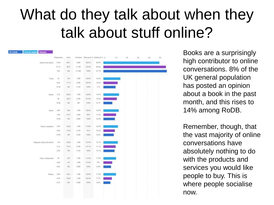### What do they talk about when they talk about stuff online?

|                             | Певропава                          | Intero       |        | Universe. Data pont % Automos % 0 |       | 10.1 | $^{20}$ | 30. | $-40$ | 180 |
|-----------------------------|------------------------------------|--------------|--------|-----------------------------------|-------|------|---------|-----|-------|-----|
| filone of the above         | 13.54                              | 88.77        | T.AM   | 26.2%                             | NU25  |      |         |     |       |     |
|                             | 37.16                              | 98.2         | 11.4M  | 52.3%                             | 56,9% |      |         |     |       |     |
|                             | 754                                | 100          | 21,306 | 100%                              | 57.7% |      |         |     |       |     |
| First                       | 相                                  | 390          | 1.HM   | 40.0%                             | 16.4% |      |         |     |       |     |
|                             | 6.5%                               | 117.5        | 2.0M   | 6E.5%                             | 12.9% |      |         |     |       |     |
|                             | 16.66                              | 100          | 4.1M   | 100%                              | I1%   |      |         |     |       |     |
| Books                       | 3.79.                              | 103.6        | T.HM   | 33.8%                             | 16.2% |      |         |     |       |     |
|                             | $\beta  b $                        | 152.7        | 2.4M   | 81/2%                             | 12.2% |      |         |     |       |     |
|                             | 10.5k                              | 100          | M      | 100%                              | 8.1%  |      |         |     |       |     |
| Muse                        | 3.6%                               | TOR.         | $+0M$  | 38.8%                             | 13.9% |      |         |     |       |     |
|                             | 7.06                               | 118.7        | $2.3M$ | 02%                               | 11.0% |      |         |     |       |     |
|                             | 13.4%                              | 700          | 3.014  | 100%                              | 10.4% |      |         |     |       |     |
| There!/ vacations           | 3.5%                               | 1623         | 173M   | 41.0%                             | (1.2% |      |         |     |       |     |
|                             | 4.0                                | <b>T14.E</b> | ZIM    | E176                              | 10.4% |      |         |     |       |     |
|                             | 12.2%                              | 100          | 3.558  | 100%                              | 0.451 |      |         |     |       |     |
| Television (Slope G4 (6)19) | $1 - 4a$                           | 120.5        | T.BM   | 37.0%                             | 12.1% |      |         |     |       |     |
|                             | 2.18                               | TIBA         | 2.496  | 37.1%                             | 11.1% |      |         |     |       |     |
|                             | 3.60                               | $+000$       | 4.1M   | TWN.                              | 10.1% |      |         |     |       |     |
| Food / remarkents           | $\left\vert \mathbf{3}\right\vert$ | 142          | 1.3M   | 41.9%                             | 11.8% |      |         |     |       |     |
|                             | 任务                                 | TIE:         | 1.BV   | 81.2%                             | $1\%$ |      |         |     |       |     |
|                             | 9.6k                               | 105          | 2.GM   | tops.                             | 香居所   |      |         |     |       |     |
| Politics                    | 2.96                               | 140.1        | 1.3M   | 43.6%                             | 11.4% |      |         |     |       |     |
|                             | 1.41                               | T00.0        | 1.94   | <b>PL2%</b>                       | 7.7%  |      |         |     |       |     |
|                             | 878                                | 100          | 2.3M   | tons.                             | 8.375 |      |         |     |       |     |
|                             |                                    |              |        |                                   |       |      |         |     |       |     |
|                             |                                    |              |        |                                   |       |      |         |     |       |     |

Books are a surprisingly high contributor to online conversations. 8% of the UK general population has posted an opinion about a book in the past month, and this rises to 14% among RoDB.

Remember, though, that the vast majority of online conversations have absolutely nothing to do with the products and services you would like people to buy. This is where people socialise now.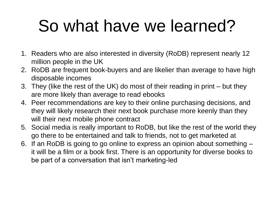## So what have we learned?

- 1. Readers who are also interested in diversity (RoDB) represent nearly 12 million people in the UK
- 2. RoDB are frequent book-buyers and are likelier than average to have high disposable incomes
- 3. They (like the rest of the UK) do most of their reading in print but they are more likely than average to read ebooks
- 4. Peer recommendations are key to their online purchasing decisions, and they will likely research their next book purchase more keenly than they will their next mobile phone contract
- 5. Social media is really important to RoDB, but like the rest of the world they go there to be entertained and talk to friends, not to get marketed at
- 6. If an RoDB is going to go online to express an opinion about something it will be a film or a book first. There is an opportunity for diverse books to be part of a conversation that isn't marketing-led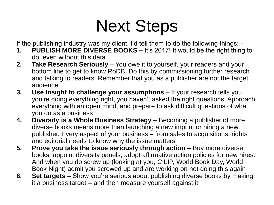## Next Steps

If the publishing industry was my client, I'd tell them to do the following things: -

- **1. PUBLISH MORE DIVERSE BOOKS –** It's 2017! It would be the right thing to do, even without this data
- **2. Take Research Seriously** You owe it to yourself, your readers and your bottom line to get to know RoDB. Do this by commissioning further research and talking to readers. Remember that you as a publisher are not the target audience
- **3. Use Insight to challenge your assumptions**  If your research tells you you're doing everything right, you haven't asked the right questions. Approach everything with an open mind, and prepare to ask difficult questions of what you do as a business
- **4. Diversity is a Whole Business Strategy**  Becoming a publisher of more diverse books means more than launching a new imprint or hiring a new publisher. Every aspect of your business – from sales to acquisitions, rights and editorial needs to know why the issue matters
- **5.** Prove you take the issue seriously through action Buy more diverse books, appoint diversity panels, adopt affirmative action policies for new hires. And when you do screw up (looking at you, CILIP, World Book Day, World Book Night) admit you screwed up and are working on not doing this again
- **6.** Set targets Show you're serious about publishing diverse books by making it a business target – and then measure yourself against it